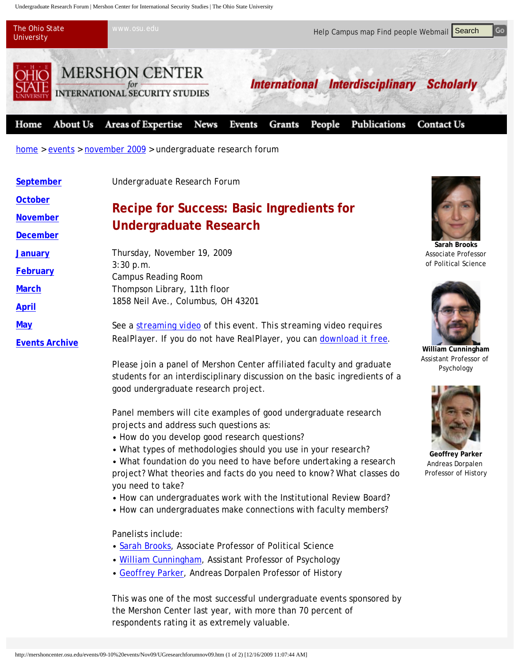Undergraduate Research Forum | Mershon Center for International Security Studies | The Ohio State University



| The Onio State<br>www.osu.eau<br><b>University</b>                |                                                                                                                                                                                                                                                                                                      | Help Campus map Find people Webmail Search |                                                |                                                                |  |
|-------------------------------------------------------------------|------------------------------------------------------------------------------------------------------------------------------------------------------------------------------------------------------------------------------------------------------------------------------------------------------|--------------------------------------------|------------------------------------------------|----------------------------------------------------------------|--|
|                                                                   | <b>MERSHON CENTER</b><br><b>INTERNATIONAL SECURITY STUDIES</b>                                                                                                                                                                                                                                       |                                            | International Interdisciplinary                | <b>Scholarly</b>                                               |  |
| <b>About Us</b><br>Home                                           | <b>Areas of Expertise</b><br><b>News</b>                                                                                                                                                                                                                                                             | Events<br>Grants                           | People<br>Publications                         | <b>Contact Us</b>                                              |  |
|                                                                   | $home > events > november 2009 > undergraduate research forum$                                                                                                                                                                                                                                       |                                            |                                                |                                                                |  |
| September                                                         | Undergraduate Research Forum                                                                                                                                                                                                                                                                         |                                            |                                                |                                                                |  |
| <b>October</b><br><b>November</b><br><b>December</b>              | <b>Recipe for Success: Basic Ingredients for</b><br><b>Undergraduate Research</b>                                                                                                                                                                                                                    |                                            |                                                |                                                                |  |
| <b>January</b><br><b>February</b><br><b>March</b><br><b>April</b> | Thursday, November 19, 2009<br>3:30 p.m.<br><b>Campus Reading Room</b><br>Thompson Library, 11th floor<br>1858 Neil Ave., Columbus, OH 43201                                                                                                                                                         |                                            |                                                | Sarah Brooks<br><b>Associate Profess</b><br>of Political Scien |  |
| <b>May</b><br><b>Events Archive</b>                               | See a streaming video of this event. This streaming video requires<br>RealPlayer. If you do not have RealPlayer, you can download it free.                                                                                                                                                           |                                            | William Cunningh<br><b>Assistant Professor</b> |                                                                |  |
|                                                                   | Please join a panel of Mershon Center affiliated faculty and graduate<br>students for an interdisciplinary discussion on the basic ingredients of a<br>good undergraduate research project.                                                                                                          |                                            |                                                | Psychology                                                     |  |
|                                                                   | Panel members will cite examples of good undergraduate research<br>projects and address such questions as:<br>• How do you develop good research questions?<br>• What types of methodologies should you use in your research?<br>• What foundation do you need to have before undertaking a research |                                            |                                                | <b>Geoffrey Parke</b><br>Andreas Dorpale                       |  |
|                                                                   | project? What theories and facts do you need to know? What classes do<br>you need to take?<br>• How can undergraduates work with the Institutional Review Board?<br>• How can undergraduates make connections with faculty members?                                                                  |                                            |                                                | Professor of Histo                                             |  |
|                                                                   | Panelists include:<br>• Sarah Brooks, Associate Professor of Political Science<br>. William Cunningham, Assistant Professor of Psychology<br>• Geoffrey Parker, Andreas Dorpalen Professor of History                                                                                                |                                            |                                                |                                                                |  |
|                                                                   | This was one of the most successful undergraduate events sponsored by<br>the Mershon Center last year, with more than 70 percent of<br>respondents rating it as extremely valuable.                                                                                                                  |                                            |                                                |                                                                |  |
|                                                                   | http://mershoncenter.osu.edu/events/09-10%20events/Nov09/UGresearchforumnov09.htm (1 of 2) [12/16/2009 11:07:44 AM]                                                                                                                                                                                  |                                            |                                                |                                                                |  |

- How do you develop good research questions?
- What types of methodologies should you use in your research?
- What foundation do you need to have before undertaking a research project? What theories and facts do you need to know? What classes do you need to take?
- How can undergraduates work with the Institutional Review Board?
- How can undergraduates make connections with faculty members?

- Sarah Brooks, Associate Professor of Political Science
- William Cunningham, Assistant Professor of Psychology
- Geoffrey Parker, Andreas Dorpalen Professor of History



**Sarah Brooks** Associate Professor of Political Science



**William Cunningham**  Assistant Professor of Psychology



**Geoffrey Parker** Andreas Dorpalen Professor of History